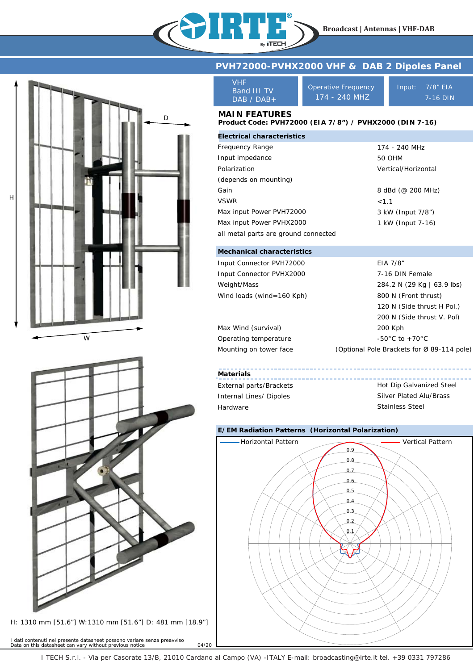

D

W

H

H: 1310 mm [51.6"] W:1310 mm [51.6"] D: 481 mm [18.9"]

I dati contenuti nel presente datasheet possono variare senza preavviso *Data on this datasheet can vary without previous notice* 04/20

# **PVH72000-PVHX2000 VHF & DAB 2 Dipoles Panel**

| VHF           |
|---------------|
| Band III TV   |
| $DAB / DAB +$ |

Operative Frequency 174 - 240 MHZ

Input: 7/8" EIA 7-16 DIN

## **MAIN FEATURES**

#### **Product Code: PVH72000 (EIA 7/8") / PVHX2000 (DIN 7-16)**

| <b>Electrical characteristics</b>    |                     |  |
|--------------------------------------|---------------------|--|
| Frequency Range                      | 174 - 240 MHz       |  |
| Input impedance                      | <b>50 OHM</b>       |  |
| Polarization                         | Vertical/Horizontal |  |
| (depends on mounting)                |                     |  |
| Gain                                 | 8 dBd (@ 200 MHz)   |  |
| <b>VSWR</b>                          | < 1.1               |  |
| Max input Power PVH72000             | 3 kW (Input 7/8")   |  |
| Max input Power PVHX2000             | 1 kW (Input 7-16)   |  |
| all metal parts are ground connected |                     |  |

## **Mechanical characteristics**

| Input Connector PVH72000  | EIA 7/8"                                   |  |  |
|---------------------------|--------------------------------------------|--|--|
| Input Connector PVHX2000  | 7-16 DIN Female                            |  |  |
| Weight/Mass               | 284.2 N (29 Kg   63.9 lbs)                 |  |  |
| Wind loads (wind=160 Kph) | 800 N (Front thrust)                       |  |  |
|                           | 120 N (Side thrust H Pol.)                 |  |  |
|                           | 200 N (Side thrust V. Pol)                 |  |  |
| Max Wind (survival)       | 200 Kph                                    |  |  |
| Operating temperature     | $-50^{\circ}$ C to $+70^{\circ}$ C         |  |  |
| Mounting on tower face    | (Optional Pole Brackets for Ø 89-114 pole) |  |  |

## **Materials**

External parts/Brackets Internal Lines/ Dipoles Hardware

Hot Dip Galvanized Steel Silver Plated Alu/Brass Stainless Steel

## **E/EM Radiation Patterns (Horizontal Polarization)**



I TECH S.r.l. - Via per Casorate 13/B, 21010 Cardano al Campo (VA) -ITALY E-mail: broadcasting@irte.it tel. +39 0331 797286